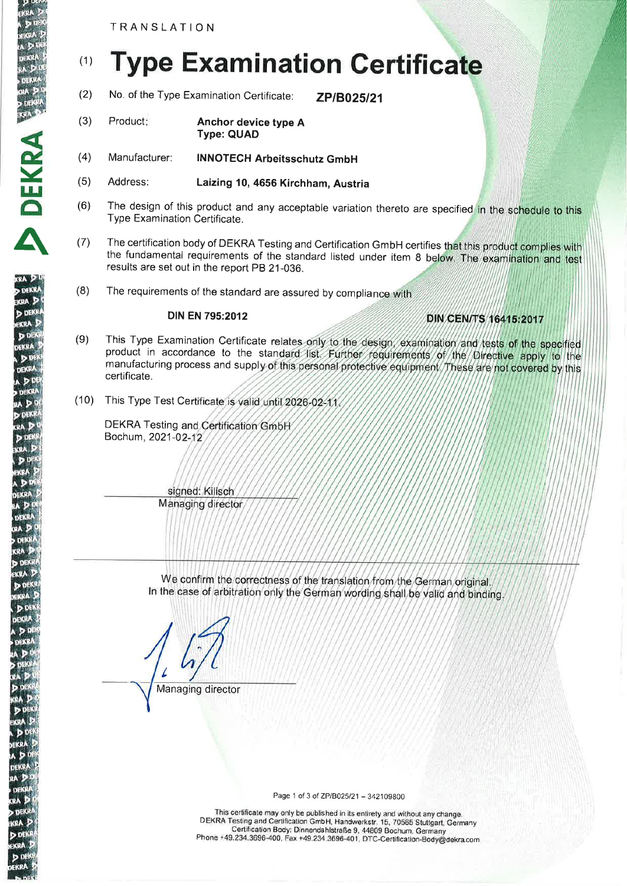TRANSLATION

ekra 21

ERAN<br>ERICHA F<br>ERICA DIE

**p** dekar<br>KRA

DEKR

 $\bar{\mathbf{A}}$ 

OEKFÄ

**CRA** b DE KRA

Œ.

# (1) Type Examination Certificate

- (2) No. of the Type Examination Certificate: **ZP/B025/21**
- (3) Product: **Anchor device type A** Type: QUAD
- Manufacturer: INNOTECH Arbeitsschutz GmbH (4)
- Address: Laizing 10, 4656 Kirchham, Austria (5)
- $(6)$  The design of this product and any acceptable variation thereto are specified in the schedule to this Type Examination Certificate.
- (7) The certification body of DEKRA Testing and Certification GmbH certifies that this product complies with the fundamental requirements of the stand ard listed under item 8 results are set out in the report PB 21-036.
- (8) The requirements of the standard are assured by complia

#### DIN EN 795:2O12

# DIN CEN/TS 16415:2017

- (9) This Type Examination Certificate relates only to the design, examination and tests of the specified product in accordance to the standard list. Further regulirements of the Directive apply to the manufacturing process and supply of this personal protective equipment. These are not covered by this certificate.
- (10) This Type Test Certificate is valid until 2026-02-11

DEKRA Testing and Certification GmbH Bochum, 2021-0

> signed: Kilisch **Managing director**

We confirm the correctness of the translation from the German original In the case of arbitration only the German wording shall be valid and binding

I Managing director

Page 1 of 3 of ZP/B025/21 - 342109800

\_ \_ DEKRA Testing and Certification GmbH, Handwerkstr. 15, 20565 Stuttöart, Gärmany This certificate may only be published in its entirety and without any change. \_. Phone +49.234.3696-400, Fax +49.234.3696-401, DTC-Certification-Body@dekra.com Certification Body: Dinnendahlstraße g, 44gog Bochum, Germany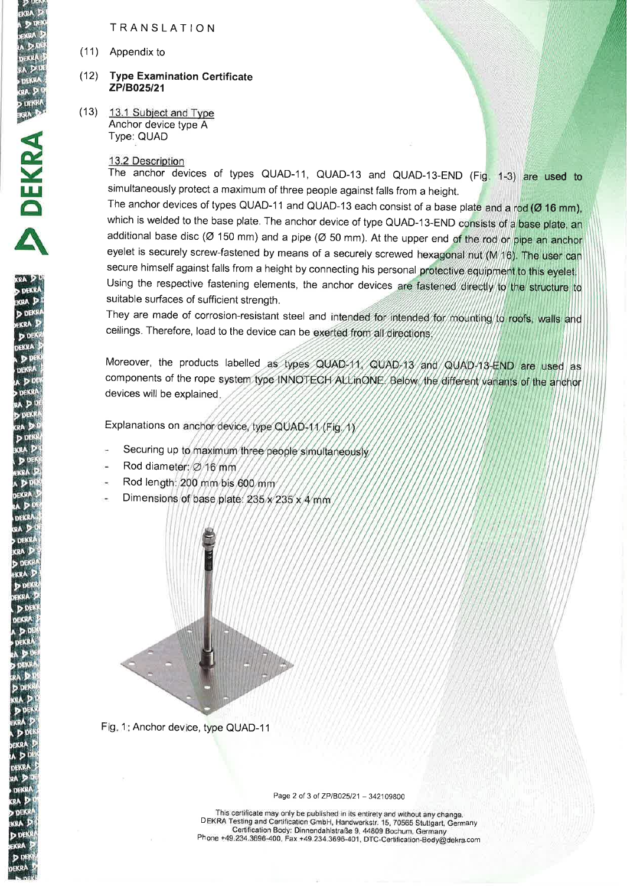## TRANSLATION

(11) Appendix to

**DEKRA** 

œĂ

kRA

#### (12) Type Examination Certificate ZP/B025/21

(13) 13.1 Subiect and Tvpe Anchor device type A Type: QUAD

#### 13.2 Description

The anchor devices of types QUAD-11, QUAD-13 and QUAD-13-END (Fig. 1-3) are used to simultaneously protect a maximum of three people against falls from a height.

The anchor devices of types QUAD-11 and QUAD-13 each consist of a base plate and a rod ( $Ø$  16 mm), which is welded to the base plate. The anchor device of type QUAD-13-END consists of a base plate, an additional base disc ( $\varnothing$  150 mm) and a pipe ( $\varnothing$  50 mm). At the upper end of the rod or pipe an anchor eyelet is securely screw-fastened by means of a securely screwed hexagonal nut (M 16). The user can secure himself against falls from a height by connecting his personal protective equipment to this eyelet. Using the respective fastening elements, the anchor devices are fastened directly to the structure to suitable surfaces of sufficient strength.

They are made of corrosion-resistant steel and intended for intended for mounting to roofs, walls and ceilings. Therefore, load to the device can be exerted from all directions

Moreover, the products labelled components of the rope system type INNOTECH ALLinONE. Below, the different variants of the anchor devices will be explained

Explanations on anchor device, type QUAD-11 (Fig. 1)

- Securing up to maximum three people simultaneously
- Rod diameter: Ø 16 mm
- Rod length: 200 mm bis 600 mm
- Dimensions of base plate: 235 x 235 x 4 mm



Fig. 1: Anchor device, type QUAD-11

Page 2 of 3 of ZP/B025/21 - 342109800

I has certificate may only be published in its entirety and without any change.<br>DEKRA Testing and Certification GmbH, Handwerkstr. 15, 70565 Stuttgart, Germany This certiflcate may only be published in its entirety and without any change. Certification Body: Dinnendahlstraße 9, 44809 Bochum, Germany Phone +49.234.3696-400, Fax +49.234.3696-401, DTC-Certification-Body@dekra.com